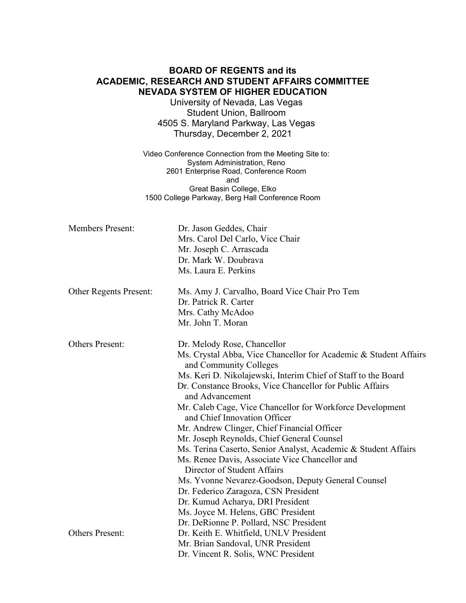## **BOARD OF REGENTS and its ACADEMIC, RESEARCH AND STUDENT AFFAIRS COMMITTEE NEVADA SYSTEM OF HIGHER EDUCATION**

University of Nevada, Las Vegas Student Union, Ballroom 4505 S. Maryland Parkway, Las Vegas Thursday, December 2, 2021

Video Conference Connection from the Meeting Site to: System Administration, Reno 2601 Enterprise Road, Conference Room and Great Basin College, Elko 1500 College Parkway, Berg Hall Conference Room

| <b>Members Present:</b> | Dr. Jason Geddes, Chair<br>Mrs. Carol Del Carlo, Vice Chair<br>Mr. Joseph C. Arrascada<br>Dr. Mark W. Doubrava<br>Ms. Laura E. Perkins                                                                                                                                                                                                                                                                                                                                                                                                                                                                                                                                                                                                                   |
|-------------------------|----------------------------------------------------------------------------------------------------------------------------------------------------------------------------------------------------------------------------------------------------------------------------------------------------------------------------------------------------------------------------------------------------------------------------------------------------------------------------------------------------------------------------------------------------------------------------------------------------------------------------------------------------------------------------------------------------------------------------------------------------------|
| Other Regents Present:  | Ms. Amy J. Carvalho, Board Vice Chair Pro Tem<br>Dr. Patrick R. Carter<br>Mrs. Cathy McAdoo<br>Mr. John T. Moran                                                                                                                                                                                                                                                                                                                                                                                                                                                                                                                                                                                                                                         |
| <b>Others Present:</b>  | Dr. Melody Rose, Chancellor<br>Ms. Crystal Abba, Vice Chancellor for Academic & Student Affairs<br>and Community Colleges<br>Ms. Keri D. Nikolajewski, Interim Chief of Staff to the Board<br>Dr. Constance Brooks, Vice Chancellor for Public Affairs<br>and Advancement<br>Mr. Caleb Cage, Vice Chancellor for Workforce Development<br>and Chief Innovation Officer<br>Mr. Andrew Clinger, Chief Financial Officer<br>Mr. Joseph Reynolds, Chief General Counsel<br>Ms. Terina Caserto, Senior Analyst, Academic & Student Affairs<br>Ms. Renee Davis, Associate Vice Chancellor and<br>Director of Student Affairs<br>Ms. Yvonne Nevarez-Goodson, Deputy General Counsel<br>Dr. Federico Zaragoza, CSN President<br>Dr. Kumud Acharya, DRI President |
| <b>Others Present:</b>  | Ms. Joyce M. Helens, GBC President<br>Dr. DeRionne P. Pollard, NSC President<br>Dr. Keith E. Whitfield, UNLV President<br>Mr. Brian Sandoval, UNR President<br>Dr. Vincent R. Solis, WNC President                                                                                                                                                                                                                                                                                                                                                                                                                                                                                                                                                       |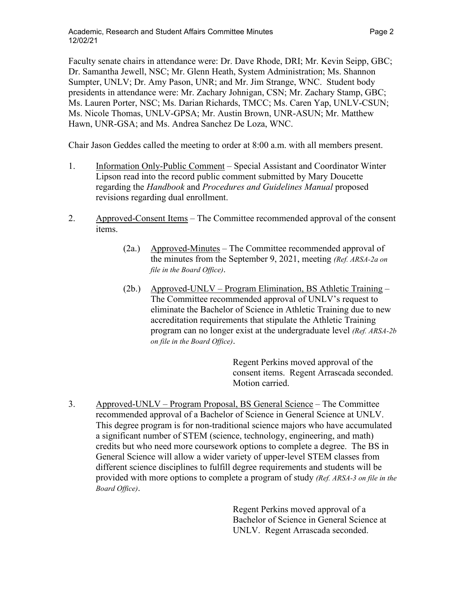Faculty senate chairs in attendance were: Dr. Dave Rhode, DRI; Mr. Kevin Seipp, GBC; Dr. Samantha Jewell, NSC; Mr. Glenn Heath, System Administration; Ms. Shannon Sumpter, UNLV; Dr. Amy Pason, UNR; and Mr. Jim Strange, WNC. Student body presidents in attendance were: Mr. Zachary Johnigan, CSN; Mr. Zachary Stamp, GBC; Ms. Lauren Porter, NSC; Ms. Darian Richards, TMCC; Ms. Caren Yap, UNLV-CSUN; Ms. Nicole Thomas, UNLV-GPSA; Mr. Austin Brown, UNR-ASUN; Mr. Matthew Hawn, UNR-GSA; and Ms. Andrea Sanchez De Loza, WNC.

Chair Jason Geddes called the meeting to order at 8:00 a.m. with all members present.

- 1. Information Only-Public Comment Special Assistant and Coordinator Winter Lipson read into the record public comment submitted by Mary Doucette regarding the *Handbook* and *Procedures and Guidelines Manual* proposed revisions regarding dual enrollment.
- 2. Approved-Consent Items The Committee recommended approval of the consent items.
	- (2a.) Approved-Minutes The Committee recommended approval of the minutes from the September 9, 2021, meeting *(Ref. ARSA-2a on file in the Board Office)*.
	- (2b.) Approved-UNLV Program Elimination, BS Athletic Training The Committee recommended approval of UNLV's request to eliminate the Bachelor of Science in Athletic Training due to new accreditation requirements that stipulate the Athletic Training program can no longer exist at the undergraduate level *(Ref. ARSA-2b on file in the Board Office)*.

Regent Perkins moved approval of the consent items. Regent Arrascada seconded. Motion carried.

3. Approved-UNLV – Program Proposal, BS General Science – The Committee recommended approval of a Bachelor of Science in General Science at UNLV. This degree program is for non-traditional science majors who have accumulated a significant number of STEM (science, technology, engineering, and math) credits but who need more coursework options to complete a degree. The BS in General Science will allow a wider variety of upper-level STEM classes from different science disciplines to fulfill degree requirements and students will be provided with more options to complete a program of study *(Ref. ARSA-3 on file in the Board Office)*.

> Regent Perkins moved approval of a Bachelor of Science in General Science at UNLV. Regent Arrascada seconded.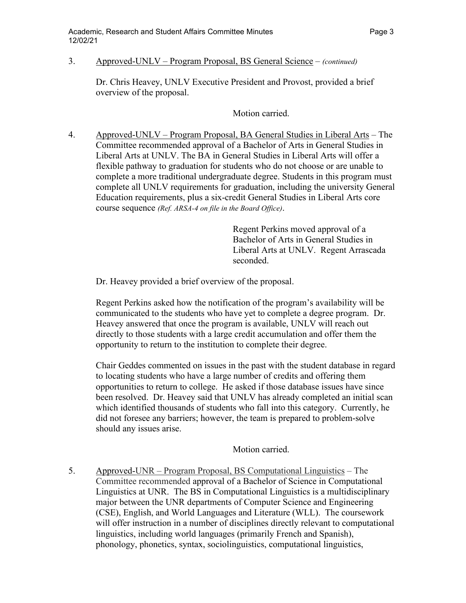## 3. Approved-UNLV – Program Proposal, BS General Science – *(continued)*

Dr. Chris Heavey, UNLV Executive President and Provost, provided a brief overview of the proposal.

Motion carried.

4. Approved-UNLV – Program Proposal, BA General Studies in Liberal Arts – The Committee recommended approval of a Bachelor of Arts in General Studies in Liberal Arts at UNLV. The BA in General Studies in Liberal Arts will offer a flexible pathway to graduation for students who do not choose or are unable to complete a more traditional undergraduate degree. Students in this program must complete all UNLV requirements for graduation, including the university General Education requirements, plus a six-credit General Studies in Liberal Arts core course sequence *(Ref. ARSA-4 on file in the Board Office)*.

> Regent Perkins moved approval of a Bachelor of Arts in General Studies in Liberal Arts at UNLV. Regent Arrascada seconded.

Dr. Heavey provided a brief overview of the proposal.

Regent Perkins asked how the notification of the program's availability will be communicated to the students who have yet to complete a degree program. Dr. Heavey answered that once the program is available, UNLV will reach out directly to those students with a large credit accumulation and offer them the opportunity to return to the institution to complete their degree.

Chair Geddes commented on issues in the past with the student database in regard to locating students who have a large number of credits and offering them opportunities to return to college. He asked if those database issues have since been resolved. Dr. Heavey said that UNLV has already completed an initial scan which identified thousands of students who fall into this category. Currently, he did not foresee any barriers; however, the team is prepared to problem-solve should any issues arise.

Motion carried.

5. Approved-UNR – Program Proposal, BS Computational Linguistics – The Committee recommended approval of a Bachelor of Science in Computational Linguistics at UNR. The BS in Computational Linguistics is a multidisciplinary major between the UNR departments of Computer Science and Engineering (CSE), English, and World Languages and Literature (WLL). The coursework will offer instruction in a number of disciplines directly relevant to computational linguistics, including world languages (primarily French and Spanish), phonology, phonetics, syntax, sociolinguistics, computational linguistics,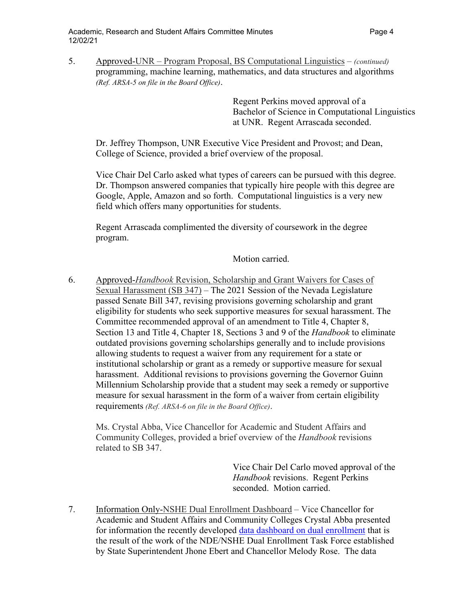5. Approved-UNR – Program Proposal, BS Computational Linguistics – *(continued)* programming, machine learning, mathematics, and data structures and algorithms *(Ref. ARSA-5 on file in the Board Office)*.

> Regent Perkins moved approval of a Bachelor of Science in Computational Linguistics at UNR. Regent Arrascada seconded.

Dr. Jeffrey Thompson, UNR Executive Vice President and Provost; and Dean, College of Science, provided a brief overview of the proposal.

Vice Chair Del Carlo asked what types of careers can be pursued with this degree. Dr. Thompson answered companies that typically hire people with this degree are Google, Apple, Amazon and so forth. Computational linguistics is a very new field which offers many opportunities for students.

Regent Arrascada complimented the diversity of coursework in the degree program.

Motion carried.

6. Approved-*Handbook* Revision, Scholarship and Grant Waivers for Cases of Sexual Harassment (SB 347) – The 2021 Session of the Nevada Legislature passed Senate Bill 347, revising provisions governing scholarship and grant eligibility for students who seek supportive measures for sexual harassment. The Committee recommended approval of an amendment to Title 4, Chapter 8, Section 13 and Title 4, Chapter 18, Sections 3 and 9 of the *Handbook* to eliminate outdated provisions governing scholarships generally and to include provisions allowing students to request a waiver from any requirement for a state or institutional scholarship or grant as a remedy or supportive measure for sexual harassment. Additional revisions to provisions governing the Governor Guinn Millennium Scholarship provide that a student may seek a remedy or supportive measure for sexual harassment in the form of a waiver from certain eligibility requirements *(Ref. ARSA-6 on file in the Board Office)*.

Ms. Crystal Abba, Vice Chancellor for Academic and Student Affairs and Community Colleges, provided a brief overview of the *Handbook* revisions related to SB 347.

> Vice Chair Del Carlo moved approval of the *Handbook* revisions. Regent Perkins seconded. Motion carried.

7. Information Only-NSHE Dual Enrollment Dashboard – Vice Chancellor for Academic and Student Affairs and Community Colleges Crystal Abba presented for information the recently developed [data dashboard on dual enrollment](https://ir.nevada.edu/dual_enrollment.php) that is the result of the work of the NDE/NSHE Dual Enrollment Task Force established by State Superintendent Jhone Ebert and Chancellor Melody Rose. The data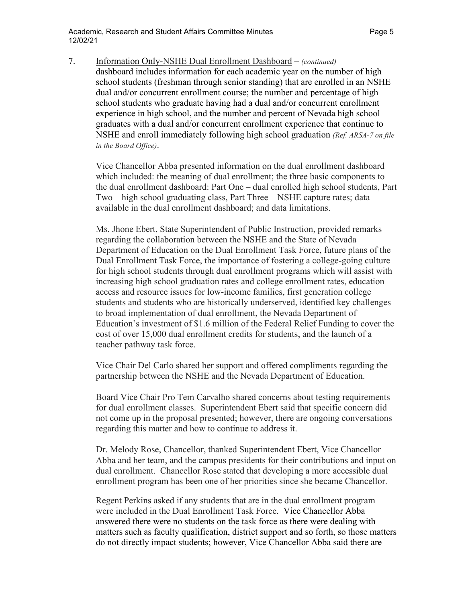7. Information Only-NSHE Dual Enrollment Dashboard – *(continued)*

dashboard includes information for each academic year on the number of high school students (freshman through senior standing) that are enrolled in an NSHE dual and/or concurrent enrollment course; the number and percentage of high school students who graduate having had a dual and/or concurrent enrollment experience in high school, and the number and percent of Nevada high school graduates with a dual and/or concurrent enrollment experience that continue to NSHE and enroll immediately following high school graduation *(Ref. ARSA-7 on file in the Board Office)*.

Vice Chancellor Abba presented information on the dual enrollment dashboard which included: the meaning of dual enrollment; the three basic components to the dual enrollment dashboard: Part One – dual enrolled high school students, Part Two – high school graduating class, Part Three – NSHE capture rates; data available in the dual enrollment dashboard; and data limitations.

Ms. Jhone Ebert, State Superintendent of Public Instruction, provided remarks regarding the collaboration between the NSHE and the State of Nevada Department of Education on the Dual Enrollment Task Force, future plans of the Dual Enrollment Task Force, the importance of fostering a college-going culture for high school students through dual enrollment programs which will assist with increasing high school graduation rates and college enrollment rates, education access and resource issues for low-income families, first generation college students and students who are historically underserved, identified key challenges to broad implementation of dual enrollment, the Nevada Department of Education's investment of \$1.6 million of the Federal Relief Funding to cover the cost of over 15,000 dual enrollment credits for students, and the launch of a teacher pathway task force.

Vice Chair Del Carlo shared her support and offered compliments regarding the partnership between the NSHE and the Nevada Department of Education.

Board Vice Chair Pro Tem Carvalho shared concerns about testing requirements for dual enrollment classes. Superintendent Ebert said that specific concern did not come up in the proposal presented; however, there are ongoing conversations regarding this matter and how to continue to address it.

Dr. Melody Rose, Chancellor, thanked Superintendent Ebert, Vice Chancellor Abba and her team, and the campus presidents for their contributions and input on dual enrollment. Chancellor Rose stated that developing a more accessible dual enrollment program has been one of her priorities since she became Chancellor.

Regent Perkins asked if any students that are in the dual enrollment program were included in the Dual Enrollment Task Force. Vice Chancellor Abba answered there were no students on the task force as there were dealing with matters such as faculty qualification, district support and so forth, so those matters do not directly impact students; however, Vice Chancellor Abba said there are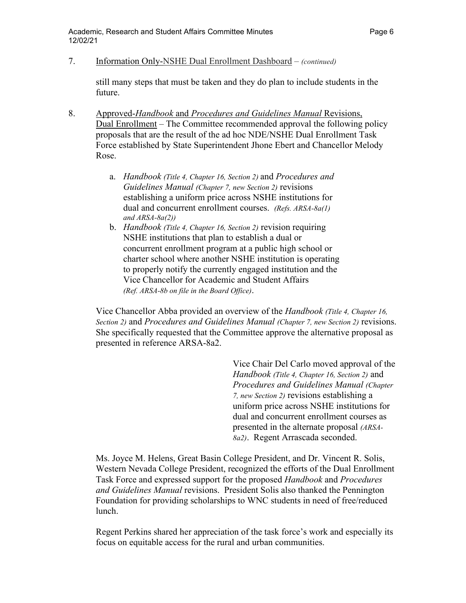7. Information Only-NSHE Dual Enrollment Dashboard – *(continued)*

still many steps that must be taken and they do plan to include students in the future.

- 8. Approved-*Handbook* and *Procedures and Guidelines Manual* Revisions, Dual Enrollment – The Committee recommended approval the following policy proposals that are the result of the ad hoc NDE/NSHE Dual Enrollment Task Force established by State Superintendent Jhone Ebert and Chancellor Melody Rose.
	- a. *Handbook (Title 4, Chapter 16, Section 2)* and *Procedures and Guidelines Manual (Chapter 7, new Section 2)* revisions establishing a uniform price across NSHE institutions for dual and concurrent enrollment courses. *(Refs. ARSA-8a(1) and ARSA-8a(2))*
	- b. *Handbook (Title 4, Chapter 16, Section 2)* revision requiring NSHE institutions that plan to establish a dual or concurrent enrollment program at a public high school or charter school where another NSHE institution is operating to properly notify the currently engaged institution and the Vice Chancellor for Academic and Student Affairs *(Ref. ARSA-8b on file in the Board Office)*.

Vice Chancellor Abba provided an overview of the *Handbook (Title 4, Chapter 16, Section 2)* and *Procedures and Guidelines Manual (Chapter 7, new Section 2)* revisions. She specifically requested that the Committee approve the alternative proposal as presented in reference ARSA-8a2.

> Vice Chair Del Carlo moved approval of the *Handbook (Title 4, Chapter 16, Section 2)* and *Procedures and Guidelines Manual (Chapter 7, new Section 2)* revisions establishing a uniform price across NSHE institutions for dual and concurrent enrollment courses as presented in the alternate proposal *(ARSA-8a2)*. Regent Arrascada seconded.

Ms. Joyce M. Helens, Great Basin College President, and Dr. Vincent R. Solis, Western Nevada College President, recognized the efforts of the Dual Enrollment Task Force and expressed support for the proposed *Handbook* and *Procedures and Guidelines Manual* revisions. President Solis also thanked the Pennington Foundation for providing scholarships to WNC students in need of free/reduced lunch.

Regent Perkins shared her appreciation of the task force's work and especially its focus on equitable access for the rural and urban communities.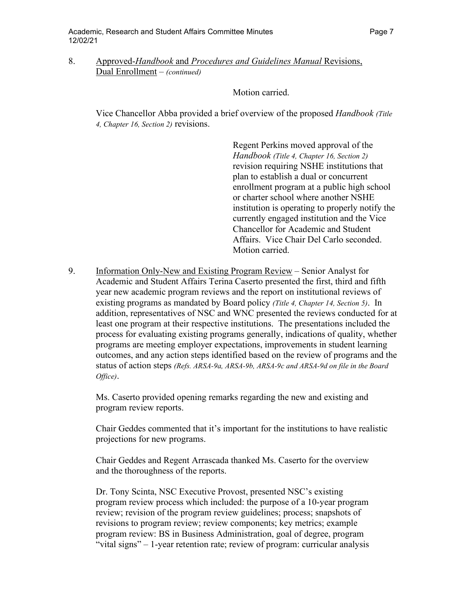## 8. Approved-*Handbook* and *Procedures and Guidelines Manual* Revisions, Dual Enrollment – *(continued)*

Motion carried.

Vice Chancellor Abba provided a brief overview of the proposed *Handbook (Title 4, Chapter 16, Section 2)* revisions.

> Regent Perkins moved approval of the *Handbook (Title 4, Chapter 16, Section 2)* revision requiring NSHE institutions that plan to establish a dual or concurrent enrollment program at a public high school or charter school where another NSHE institution is operating to properly notify the currently engaged institution and the Vice Chancellor for Academic and Student Affairs. Vice Chair Del Carlo seconded. Motion carried.

9. Information Only-New and Existing Program Review – Senior Analyst for Academic and Student Affairs Terina Caserto presented the first, third and fifth year new academic program reviews and the report on institutional reviews of existing programs as mandated by Board policy *(Title 4, Chapter 14, Section 5)*. In addition, representatives of NSC and WNC presented the reviews conducted for at least one program at their respective institutions. The presentations included the process for evaluating existing programs generally, indications of quality, whether programs are meeting employer expectations, improvements in student learning outcomes, and any action steps identified based on the review of programs and the status of action steps *(Refs. ARSA-9a, ARSA-9b, ARSA-9c and ARSA-9d on file in the Board Office)*.

Ms. Caserto provided opening remarks regarding the new and existing and program review reports.

Chair Geddes commented that it's important for the institutions to have realistic projections for new programs.

Chair Geddes and Regent Arrascada thanked Ms. Caserto for the overview and the thoroughness of the reports.

Dr. Tony Scinta, NSC Executive Provost, presented NSC's existing program review process which included: the purpose of a 10-year program review; revision of the program review guidelines; process; snapshots of revisions to program review; review components; key metrics; example program review: BS in Business Administration, goal of degree, program "vital signs" – 1-year retention rate; review of program: curricular analysis